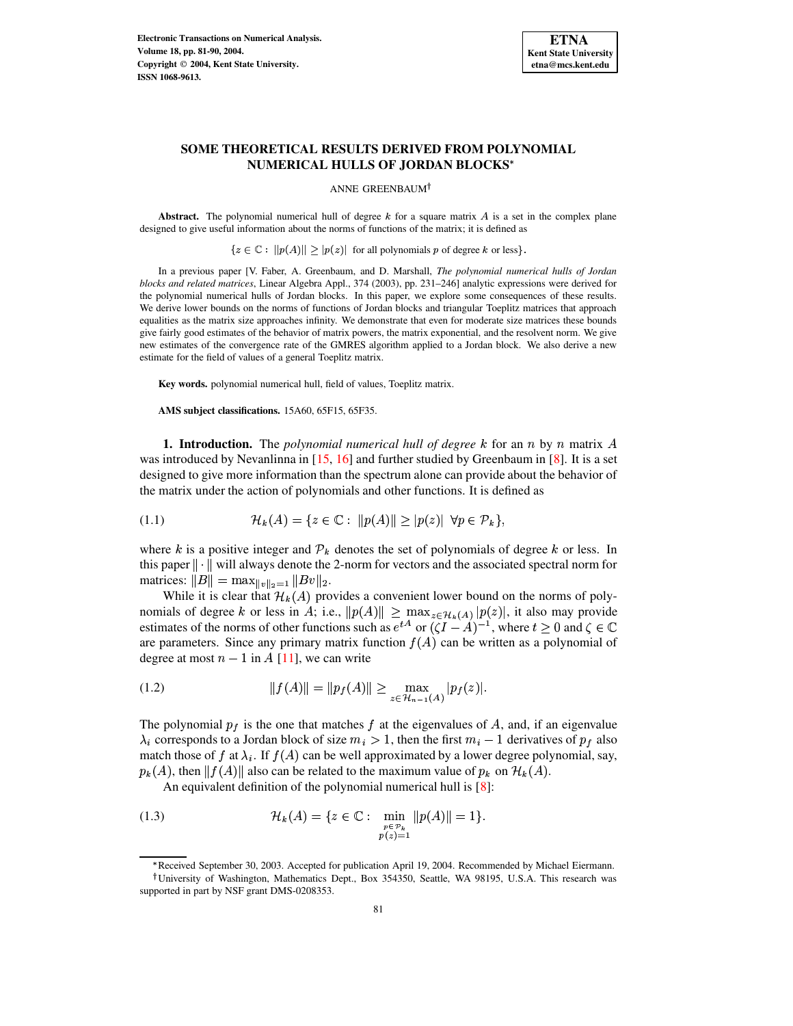

# **SOME THEORETICAL RESULTS DERIVED FROM POLYNOMIAL NUMERICAL HULLS OF JORDAN BLOCKS**

ANNE GREENBAUM

**Abstract.** The polynomial numerical hull of degree  $k$  for a square matrix  $A$  is a set in the complex plane designed to give useful information about the norms of functions of the matrix; it is defined as

 $\{z \in \mathbb{C} : ||p(A)|| \geq |p(z)| \text{ for all polynomials } p \text{ of degree } k \text{ or less}\}.$ 

In a previous paper [V. Faber, A. Greenbaum, and D. Marshall, *The polynomial numerical hulls of Jordan blocks and related matrices*, Linear Algebra Appl., 374 (2003), pp. 231–246] analytic expressions were derived for the polynomial numerical hulls of Jordan blocks. In this paper, we explore some consequences of these results. We derive lower bounds on the norms of functions of Jordan blocks and triangular Toeplitz matrices that approach equalities as the matrix size approaches infinity. We demonstrate that even for moderate size matrices these bounds give fairly good estimates of the behavior of matrix powers, the matrix exponential, and the resolvent norm. We give new estimates of the convergence rate of the GMRES algorithm applied to a Jordan block. We also derive a new estimate for the field of values of a general Toeplitz matrix.

**Key words.** polynomial numerical hull, field of values, Toeplitz matrix.

<span id="page-0-0"></span>**AMS subject classifications.** 15A60, 65F15, 65F35.

**1. Introduction.** The *polynomial numerical hull of degree*  $k$  for an  $n$  by  $n$  matrix  $A$ was introduced by Nevanlinna in  $[15, 16]$  $[15, 16]$  $[15, 16]$  and further studied by Greenbaum in  $[8]$ . It is a set designed to give more information than the spectrum alone can provide about the behavior of the matrix under the action of polynomials and other functions. It is defined as

$$
(1.1) \quad \mathcal{H}_k(A) = \{ z \in \mathbb{C} : ||p(A)|| \ge |p(z)| \ \forall p \in \mathcal{P}_k \},
$$

where k is a positive integer and  $P_k$  denotes the set of polynomials of degree k or less. In this paper  $\|\cdot\|$  will always denote the 2-norm for vectors and the associated spectral norm for matrices:  $||B|| = \max_{||v||_2=1} ||Bv||_2$ .

While it is clear that  $\mathcal{H}_k(A)$  provides a convenient lower bound on the norms of polynomials of degree k or less in A; i.e.,  $||p(A)|| \ge \max_{z \in \mathcal{H}_k(A)} |p(z)|$ , it also may provide estimates of the norms of other functions such as  $e^{tA}$  or  $(\zeta I - A)^{-1}$ , where  $t \ge 0$  and  $\zeta \in \mathbb{C}$ are parameters. Since any primary matrix function  $f(A)$  can be written as a polynomial of degree at most  $n-1$  in A [\[11\]](#page-9-3), we can write

<span id="page-0-1"></span>(1.2) 
$$
||f(A)|| = ||p_f(A)|| \ge \max_{z \in \mathcal{H}_{n-1}(A)} |p_f(z)|.
$$

The polynomial  $p_f$  is the one that matches f at the eigenvalues of A, and, if an eigenvalue  $\lambda_i$  corresponds to a Jordan block of size  $m_i > 1$ , then the first  $m_i - 1$  derivatives of  $p_f$  also match those of f at  $\lambda_i$ . If  $f(A)$  can be well approximated by a lower degree polynomial, say,  $p_k(A)$ , then  $||f(A)||$  also can be related to the maximum value of  $p_k$  on  $\mathcal{H}_k(A)$ .

<span id="page-0-2"></span>An equivalent definition of the polynomial numerical hull is [\[8\]](#page-9-2):

(1.3) 
$$
\mathcal{H}_k(A) = \{ z \in \mathbb{C} : \min_{\substack{p \in \mathcal{P}_k \\ p(z) = 1}} \| p(A) \| = 1 \}.
$$

Received September 30, 2003. Accepted for publication April 19, 2004. Recommended by Michael Eiermann.

University of Washington, Mathematics Dept., Box 354350, Seattle, WA 98195, U.S.A. This research was supported in part by NSF grant DMS-0208353.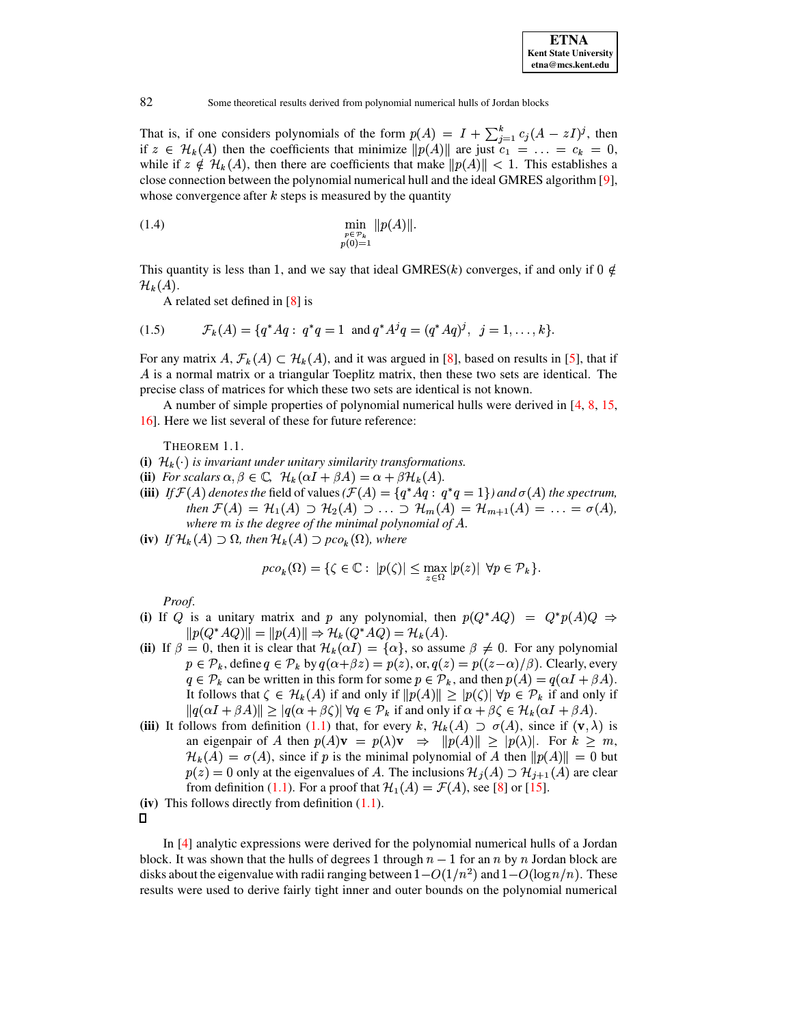

That is, if one considers polynomials of the form  $p(A) = I + \sum_{i=1}^{k} c_i (A - zI)^{i}$ , then if  $z \in \mathcal{H}_k(A)$  then the coefficients that minimize  $||p(A)||$  are just  $c_1 = \ldots = c_k = 0$ , while if  $z \notin \mathcal{H}_k(A)$ , then there are coefficients that make  $||p(A)|| < 1$ . This establishes a close connection between the polynomial numerical hull and the ideal GMRES algorithm [9], whose convergence after  $k$  steps is measured by the quantity

(1.4) 
$$
\min_{\substack{p \in \mathcal{P}_k \\ p(0)=1}} \|p(A)\|
$$

This quantity is less than 1, and we say that ideal GMRES(k) converges, if and only if  $0 \notin$  $\mathcal{H}_k(A)$ .

<span id="page-1-0"></span>A related set defined in  $[8]$  is

$$
(1.5) \t\t \mathcal{F}_k(A) = \{q^*Aq : q^*q = 1 \text{ and } q^*A^jq = (q^*Aq)^j, \ j = 1, \ldots, k\}.
$$

For any matrix  $A, \mathcal{F}_k(A) \subset \mathcal{H}_k(A)$ , and it was argued in [8], based on results in [5], that if A is a normal matrix or a triangular Toeplitz matrix, then these two sets are identical. The precise class of matrices for which these two sets are identical is not known.

A number of simple properties of polynomial numerical hulls were derived in  $[4, 8, 15]$ , 16]. Here we list several of these for future reference:

THEOREM 1.1.

- (i)  $\mathcal{H}_k(\cdot)$  is invariant under unitary similarity transformations.
- (ii) For scalars  $\alpha, \beta \in \mathbb{C}$ ,  $\mathcal{H}_k(\alpha I + \beta A) = \alpha + \beta \mathcal{H}_k(A)$ .
- (iii) If  $\mathcal{F}(A)$  denotes the field of values  $(\mathcal{F}(A) = \{q^*Aq : q^*q = 1\})$  and  $\sigma(A)$  the spectrum, then  $\mathcal{F}(A) = \mathcal{H}_1(A) \supset \mathcal{H}_2(A) \supset \ldots \supset \mathcal{H}_m(A) = \mathcal{H}_{m+1}(A) = \ldots = \sigma(A)$ , where  $m$  is the degree of the minimal polynomial of  $A$ .
- (iv) If  $\mathcal{H}_k(A) \supset \Omega$ , then  $\mathcal{H}_k(A) \supset pco_k(\Omega)$ , where

$$
pco_k(\Omega) = \{ \zeta \in \mathbb{C} : |p(\zeta)| \le \max_{z \in \Omega} |p(z)| \ \forall p \in \mathcal{P}_k \}.
$$

Proof.

- (i) If Q is a unitary matrix and p any polynomial, then  $p(Q^*AQ) = Q^*p(A)Q \Rightarrow$  $||p(Q^*AQ)|| = ||p(A)|| \Rightarrow \mathcal{H}_k(Q^*AQ) = \mathcal{H}_k(A).$
- (ii) If  $\beta = 0$ , then it is clear that  $\mathcal{H}_k(\alpha I) = {\alpha}$ , so assume  $\beta \neq 0$ . For any polynomial  $p \in \mathcal{P}_k$ , define  $q \in \mathcal{P}_k$  by  $q(\alpha + \beta z) = p(z)$ , or,  $q(z) = p((z - \alpha)/\beta)$ . Clearly, every  $q \in \mathcal{P}_k$  can be written in this form for some  $p \in \mathcal{P}_k$ , and then  $p(A) = q(\alpha I + \beta A)$ . It follows that  $\zeta \in \mathcal{H}_k(A)$  if and only if  $||p(A)|| \geq |p(\zeta)| \forall p \in \mathcal{P}_k$  if and only if  $||q(\alpha I + \beta A)|| \ge |q(\alpha + \beta \zeta)| \forall q \in \mathcal{P}_k$  if and only if  $\alpha + \beta \zeta \in \mathcal{H}_k(\alpha I + \beta A)$ .
- (iii) It follows from definition (1.1) that, for every k,  $\mathcal{H}_k(A) \supset \sigma(A)$ , since if  $(v, \lambda)$  is an eigenpair of A then  $p(A)\mathbf{v} = p(\lambda)\mathbf{v} \Rightarrow ||p(A)|| \geq |p(\lambda)|$ . For  $k \geq m$ ,  $\mathcal{H}_k(A) = \sigma(A)$ , since if p is the minimal polynomial of A then  $||p(A)|| = 0$  but  $p(z) = 0$  only at the eigenvalues of A. The inclusions  $\mathcal{H}_j(A) \supset \mathcal{H}_{j+1}(A)$  are clear from definition (1.1). For a proof that  $\mathcal{H}_1(A) = \mathcal{F}(A)$ , see [8] or [15].
- (iv) This follows directly from definition  $(1.1)$ .

 $\Box$ 

In [4] analytic expressions were derived for the polynomial numerical hulls of a Jordan block. It was shown that the hulls of degrees 1 through  $n-1$  for an n by n Jordan block are disks about the eigenvalue with radii ranging between  $1-O(1/n^2)$  and  $1-O(\log n/n)$ . These results were used to derive fairly tight inner and outer bounds on the polynomial numerical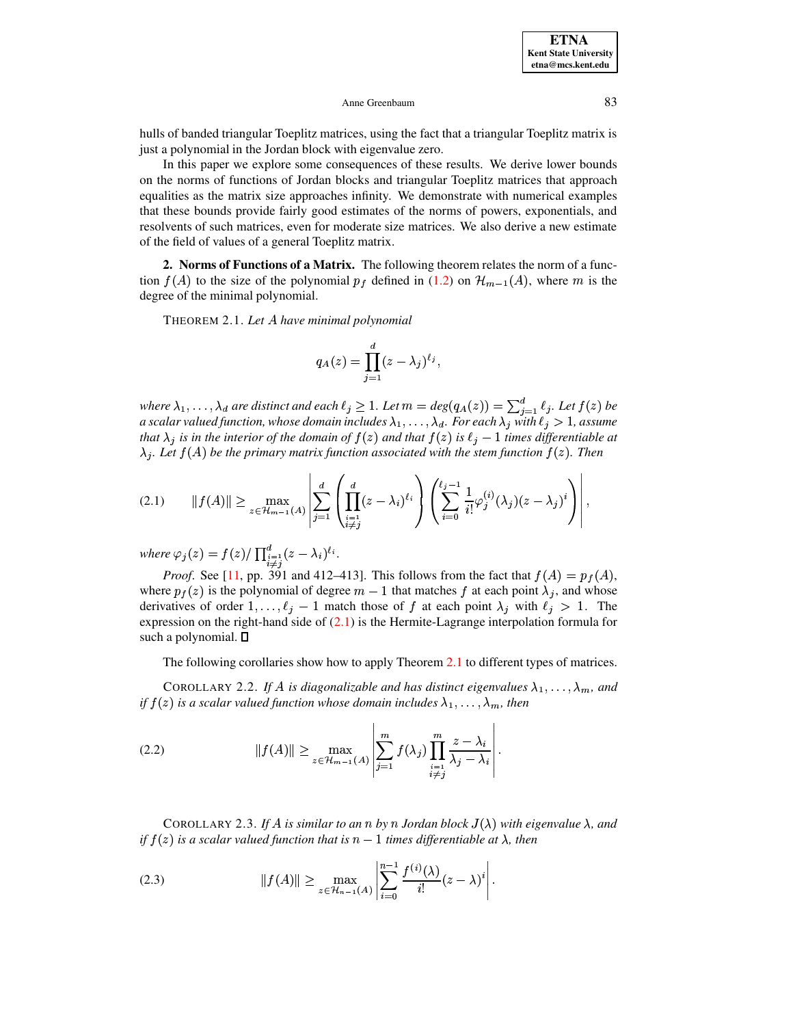**ETNA Kent State University**  $etna@mcs. kent.edu$ 

#### Anne Greenbaum

hulls of banded triangular Toeplitz matrices, using the fact that a triangular Toeplitz matrix is just a polynomial in the Jordan block with eigenvalue zero.

In this paper we explore some consequences of these results. We derive lower bounds on the norms of functions of Jordan blocks and triangular Toeplitz matrices that approach equalities as the matrix size approaches infinity. We demonstrate with numerical examples that these bounds provide fairly good estimates of the norms of powers, exponentials, and resolvents of such matrices, even for moderate size matrices. We also derive a new estimate of the field of values of a general Toeplitz matrix.

<span id="page-2-1"></span>2. Norms of Functions of a Matrix. The following theorem relates the norm of a function  $f(A)$  to the size of the polynomial  $p_f$  defined in (1.2) on  $\mathcal{H}_{m-1}(A)$ , where m is the degree of the minimal polynomial.

THEOREM 2.1. Let A have minimal polynomial

<span id="page-2-0"></span>
$$
q_A(z) = \prod_{j=1}^d (z - \lambda_j)^{\ell_j},
$$

where  $\lambda_1,\ldots,\lambda_d$  are distinct and each  $\ell_j\geq 1$ . Let  $m=\deg(q_A(z))=\sum_{i=1}^d \ell_j$ . Let  $f(z)$  be a scalar valued function, whose domain includes  $\lambda_1,\ldots,\lambda_d$ . For each  $\lambda_j$  with  $\ell_j > 1$ , assume that  $\lambda_j$  is in the interior of the domain of  $f(z)$  and that  $f(z)$  is  $\ell_j - 1$  times differentiable at  $\lambda_i$ . Let  $f(A)$  be the primary matrix function associated with the stem function  $f(z)$ . Then

$$
(2.1) \qquad ||f(A)|| \ge \max_{z \in \mathcal{H}_{m-1}(A)} \left| \sum_{j=1}^d \left( \prod_{\substack{i=1 \\ i \neq j}}^d (z - \lambda_i)^{\ell_i} \right) \left( \sum_{i=0}^{\ell_j - 1} \frac{1}{i!} \varphi_j^{(i)}(\lambda_j) (z - \lambda_j)^i \right) \right|,
$$

where  $\varphi_j(z) = f(z)/\prod_{\substack{i=1 \ i \neq j}}^d (z - \lambda_i)^{\ell_i}$ .<br>*Proof.* See [11, pp. 391 and 412–413]. This follows from the fact that  $f(A) = p_f(A)$ , where  $p_f(z)$  is the polynomial of degree  $m-1$  that matches f at each point  $\lambda_j$ , and whose derivatives of order  $1, \ldots, \ell_j - 1$  match those of f at each point  $\lambda_j$  with  $\ell_j > 1$ . The expression on the right-hand side of  $(2.1)$  is the Hermite-Lagrange interpolation formula for such a polynomial. D

The following corollaries show how to apply Theorem 2.1 to different types of matrices.

COROLLARY 2.2. If A is diagonalizable and has distinct eigenvalues  $\lambda_1, \ldots, \lambda_m$ , and if  $f(z)$  is a scalar valued function whose domain includes  $\lambda_1, \ldots, \lambda_m$ , then

(2.2) 
$$
||f(A)|| \geq \max_{z \in \mathcal{H}_{m-1}(A)} \left| \sum_{j=1}^{m} f(\lambda_j) \prod_{\substack{i=1 \ i \neq j}}^{m} \frac{z - \lambda_i}{\lambda_j - \lambda_i} \right|.
$$

<span id="page-2-3"></span><span id="page-2-2"></span>COROLLARY 2.3. If A is similar to an n by n Jordan block  $J(\lambda)$  with eigenvalue  $\lambda$ , and if  $f(z)$  is a scalar valued function that is  $n-1$  times differentiable at  $\lambda$ , then

(2.3) 
$$
||f(A)|| \geq \max_{z \in \mathcal{H}_{n-1}(A)} \left| \sum_{i=0}^{n-1} \frac{f^{(i)}(\lambda)}{i!} (z - \lambda)^i \right|.
$$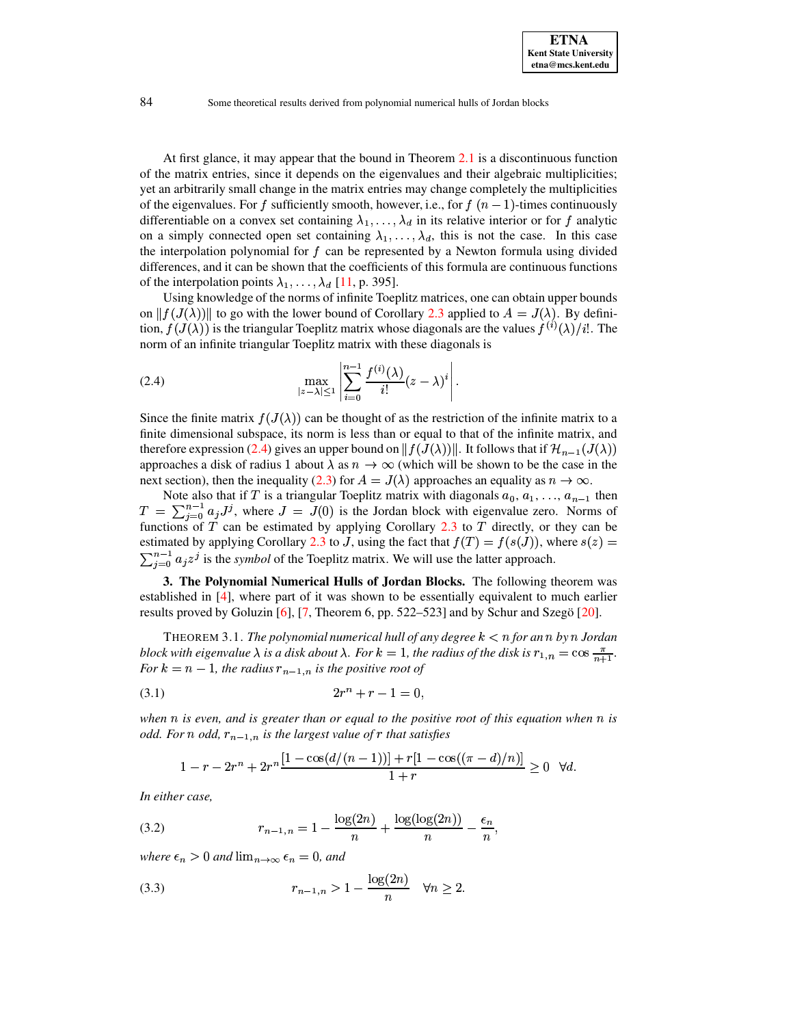At first glance, it may appear that the bound in Theorem 2.1 is a discontinuous function of the matrix entries, since it depends on the eigenvalues and their algebraic multiplicities; yet an arbitrarily small change in the matrix entries may change completely the multiplicities of the eigenvalues. For f sufficiently smooth, however, i.e., for  $f(n-1)$ -times continuously differentiable on a convex set containing  $\lambda_1, \ldots, \lambda_d$  in its relative interior or for f analytic on a simply connected open set containing  $\lambda_1, \ldots, \lambda_d$ , this is not the case. In this case the interpolation polynomial for  $f$  can be represented by a Newton formula using divided differences, and it can be shown that the coefficients of this formula are continuous functions of the interpolation points  $\lambda_1, \ldots, \lambda_d$  [11, p. 395].

Using knowledge of the norms of infinite Toeplitz matrices, one can obtain upper bounds on  $||f(J(\lambda))||$  to go with the lower bound of Corollary 2.3 applied to  $A = J(\lambda)$ . By definition,  $f(J(\lambda))$  is the triangular Toeplitz matrix whose diagonals are the values  $f^{(i)}(\lambda)/i!$ . The norm of an infinite triangular Toeplitz matrix with these diagonals is

<span id="page-3-0"></span>
$$
\max_{|z-\lambda|\leq 1}\left|\sum_{i=0}^{n-1}\frac{f^{(i)}(\lambda)}{i!}(z-\lambda)^{i}\right|.
$$

Since the finite matrix  $f(J(\lambda))$  can be thought of as the restriction of the infinite matrix to a finite dimensional subspace, its norm is less than or equal to that of the infinite matrix, and therefore expression (2.4) gives an upper bound on  $|| f(J(\lambda)) ||$ . It follows that if  $\mathcal{H}_{n-1}(J(\lambda))$ approaches a disk of radius 1 about  $\lambda$  as  $n \to \infty$  (which will be shown to be the case in the next section), then the inequality (2.3) for  $A = J(\lambda)$  approaches an equality as  $n \to \infty$ .

Note also that if T is a triangular Toeplitz matrix with diagonals  $a_0, a_1, \ldots, a_{n-1}$  then  $T = \sum_{i=0}^{n-1} a_i J^i$ , where  $J = J(0)$  is the Jordan block with eigenvalue zero. Norms of functions of  $T$  can be estimated by applying Corollary 2.3 to  $T$  directly, or they can be estimated by applying Corollary 2.3 to J, using the fact that  $f(T) = f(s(J))$ , where  $s(z)$  $\sum_{i=0}^{n-1} a_i z^j$  is the symbol of the Toeplitz matrix. We will use the latter approach.

3. The Polynomial Numerical Hulls of Jordan Blocks. The following theorem was established in [4], where part of it was shown to be essentially equivalent to much earlier results proved by Goluzin [6], [7, Theorem 6, pp. 522–523] and by Schur and Szegö [20].

<span id="page-3-1"></span>THEOREM 3.1. The polynomial numerical hull of any degree  $k < n$  for an n by n Jordan block with eigenvalue  $\lambda$  is a disk about  $\lambda$ . For  $k = 1$ , the radius of the disk is  $r_{1,n} = \cos \frac{\pi}{n+1}$ . For  $k = n - 1$ , the radius  $r_{n-1,n}$  is the positive root of

$$
(3.1) \t\t 2r^n + r - 1 = 0,
$$

when  $n$  is even, and is greater than or equal to the positive root of this equation when  $n$  is odd. For n odd,  $r_{n-1,n}$  is the largest value of r that satisfies

$$
1 - r - 2r^{n} + 2r^{n} \frac{[1 - \cos(d/(n-1))] + r[1 - \cos((\pi - d)/n)]}{1 + r} \ge 0 \quad \forall d.
$$

In either case,

(3.2) 
$$
r_{n-1,n} = 1 - \frac{\log(2n)}{n} + \frac{\log(\log(2n))}{n} - \frac{\epsilon_n}{n},
$$

where  $\epsilon_n > 0$  and  $\lim_{n \to \infty} \epsilon_n = 0$ , and

(3.3) 
$$
r_{n-1,n} > 1 - \frac{\log(2n)}{n} \quad \forall n \ge 2.
$$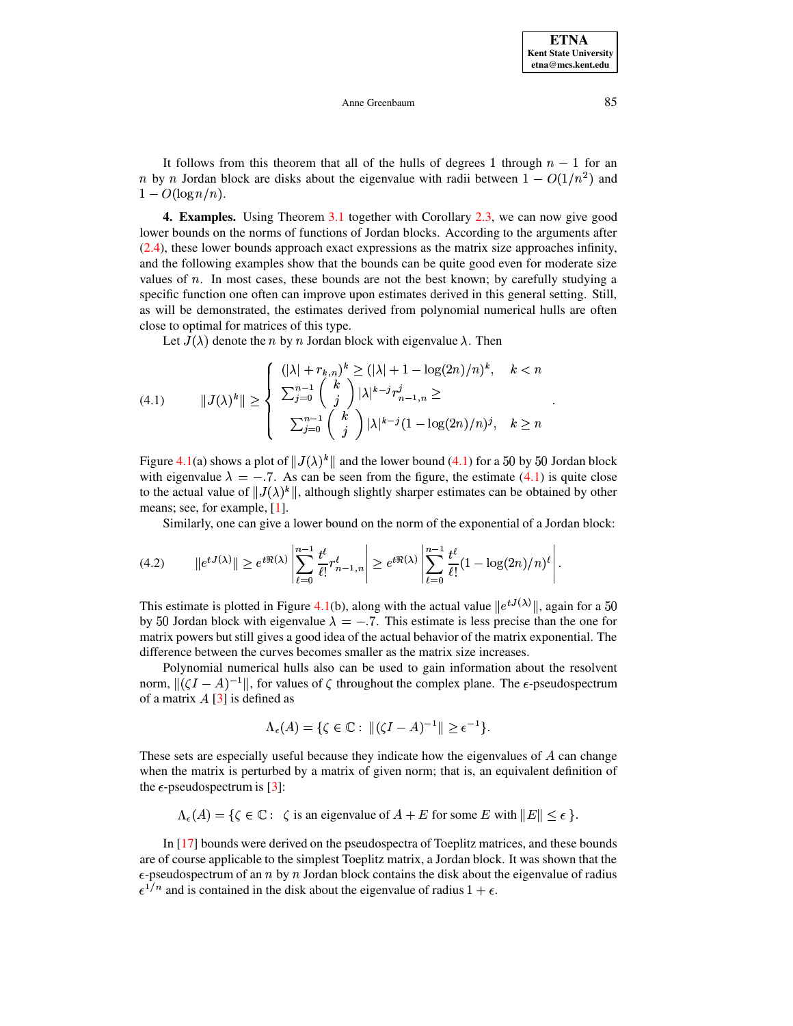#### <span id="page-4-0"></span>Anne Greenbaum

It follows from this theorem that all of the hulls of degrees 1 through  $n-1$  for an *n* by *n* Jordan block are disks about the eigenvalue with radii between  $1 - O(1/n^2)$  and  $1 - O(\log n/n)$ .

**4. Examples.** Using Theorem 3.1 together with Corollary 2.3, we can now give good lower bounds on the norms of functions of Jordan blocks. According to the arguments after  $(2.4)$ , these lower bounds approach exact expressions as the matrix size approaches infinity, and the following examples show that the bounds can be quite good even for moderate size values of  $n$ . In most cases, these bounds are not the best known; by carefully studying a specific function one often can improve upon estimates derived in this general setting. Still, as will be demonstrated, the estimates derived from polynomial numerical hulls are often close to optimal for matrices of this type.

Let  $J(\lambda)$  denote the *n* by *n* Jordan block with eigenvalue  $\lambda$ . Then

(4.1) 
$$
||J(\lambda)^k|| \ge \begin{cases} (|\lambda| + r_{k,n})^k \ge (|\lambda| + 1 - \log(2n)/n)^k, & k < n \\ \sum_{j=0}^{n-1} {k \choose j} |\lambda|^{k-j} r_{n-1,n}^j \ge \\ \sum_{j=0}^{n-1} {k \choose j} |\lambda|^{k-j} (1 - \log(2n)/n)^j, & k \ge n \end{cases}
$$

Figure 4.1(a) shows a plot of  $||J(\lambda)|^k$  and the lower bound (4.1) for a 50 by 50 Jordan block with eigenvalue  $\lambda = -7$ . As can be seen from the figure, the estimate (4.1) is quite close to the actual value of  $||J(\lambda)^k||$ , although slightly sharper estimates can be obtained by other means; see, for example,  $[1]$ .

Similarly, one can give a lower bound on the norm of the exponential of a Jordan block:

$$
(4.2) \qquad ||e^{tJ(\lambda)}|| \geq e^{t\Re(\lambda)} \left| \sum_{\ell=0}^{n-1} \frac{t^{\ell}}{\ell!} r_{n-1,n}^{\ell} \right| \geq e^{t\Re(\lambda)} \left| \sum_{\ell=0}^{n-1} \frac{t^{\ell}}{\ell!} (1 - \log(2n)/n)^{\ell} \right|
$$

This estimate is plotted in Figure 4.1(b), along with the actual value  $||e^{tJ(\lambda)}||$ , again for a 50 by 50 Jordan block with eigenvalue  $\lambda = -.7$ . This estimate is less precise than the one for matrix powers but still gives a good idea of the actual behavior of the matrix exponential. The difference between the curves becomes smaller as the matrix size increases.

Polynomial numerical hulls also can be used to gain information about the resolvent norm,  $\| (\zeta I - A)^{-1} \|$ , for values of  $\zeta$  throughout the complex plane. The  $\epsilon$ -pseudospectrum of a matrix  $A$  [3] is defined as

<span id="page-4-1"></span>
$$
\Lambda_{\epsilon}(A) = \{ \zeta \in \mathbb{C} : ||(\zeta I - A)^{-1}|| \ge \epsilon^{-1} \}.
$$

These sets are especially useful because they indicate how the eigenvalues of A can change when the matrix is perturbed by a matrix of given norm; that is, an equivalent definition of the  $\epsilon$ -pseudospectrum is [3]:

 $\Lambda_{\epsilon}(A) = \{ \zeta \in \mathbb{C} : \zeta \text{ is an eigenvalue of } A + E \text{ for some } E \text{ with } ||E|| \leq \epsilon \}.$ 

In [17] bounds were derived on the pseudospectra of Toeplitz matrices, and these bounds are of course applicable to the simplest Toeplitz matrix, a Jordan block. It was shown that the  $\epsilon$ -pseudospectrum of an n by n Jordan block contains the disk about the eigenvalue of radius  $\epsilon^{1/n}$  and is contained in the disk about the eigenvalue of radius  $1 + \epsilon$ .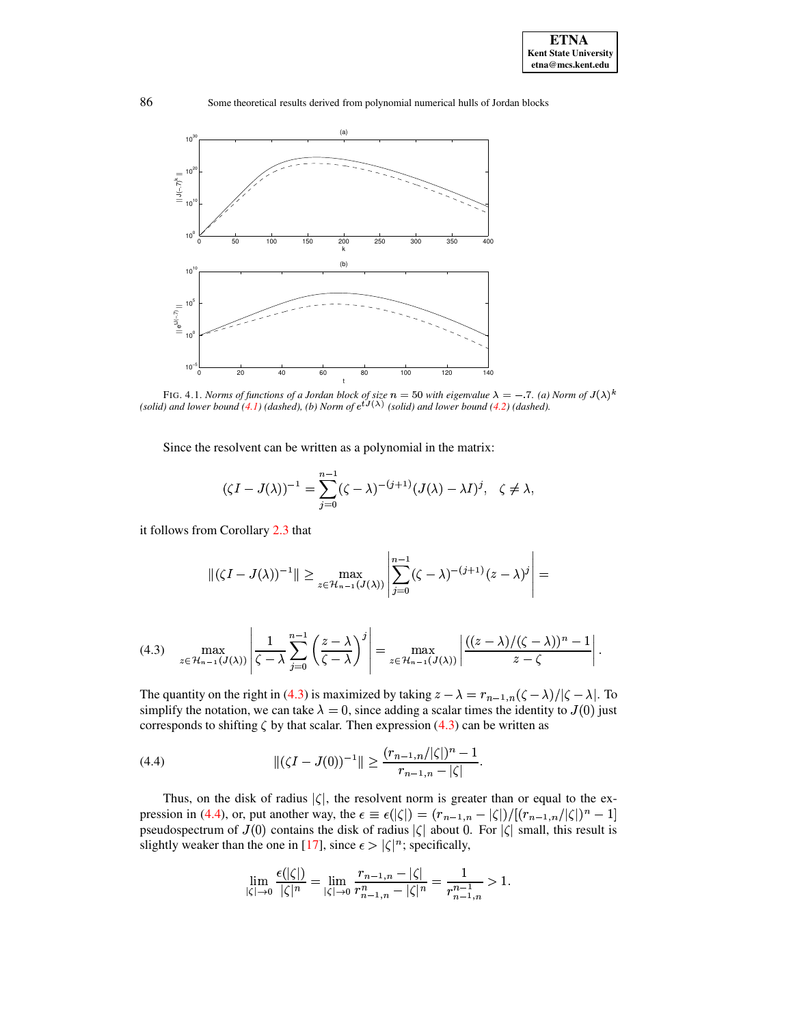

<span id="page-5-0"></span>FIG. 4.1. Norms of functions of a Jordan block of size  $n = 50$  with eigenvalue  $\lambda = -.7$ . (a) Norm of  $J(\lambda)^k$  (solid) and lower bound (4.1) (dashed), (b) Norm of  $e^{tJ(\lambda)}$  (solid) and lower bound (4.2) (dashed).

Since the resolvent can be written as a polynomial in the matrix:

$$
(\zeta I - J(\lambda))^{-1} = \sum_{j=0}^{n-1} (\zeta - \lambda)^{-(j+1)} (J(\lambda) - \lambda I)^j, \quad \zeta \neq \lambda,
$$

it follows from Corollary 2.3 that

$$
\|(\zeta I - J(\lambda))^{-1}\| \ge \max_{z \in \mathcal{H}_{n-1}(J(\lambda))} \left| \sum_{j=0}^{n-1} (\zeta - \lambda)^{-(j+1)} (z - \lambda)^j \right| =
$$

<span id="page-5-1"></span>
$$
(4.3) \quad \max_{z \in \mathcal{H}_{n-1}(J(\lambda))} \left| \frac{1}{\zeta - \lambda} \sum_{j=0}^{n-1} \left( \frac{z - \lambda}{\zeta - \lambda} \right)^j \right| = \max_{z \in \mathcal{H}_{n-1}(J(\lambda))} \left| \frac{((z - \lambda)/(\zeta - \lambda))^n - 1}{z - \zeta} \right|.
$$

The quantity on the right in (4.3) is maximized by taking  $z - \lambda = r_{n-1,n}(\zeta - \lambda)/|\zeta - \lambda|$ . To simplify the notation, we can take  $\lambda = 0$ , since adding a scalar times the identity to  $J(0)$  just corresponds to shifting  $\zeta$  by that scalar. Then expression (4.3) can be written as

(4.4) 
$$
\| (\zeta I - J(0))^{-1} \| \ge \frac{(r_{n-1,n}/|\zeta|)^n - 1}{r_{n-1,n} - |\zeta|}
$$

Thus, on the disk of radius  $|\zeta|$ , the resolvent norm is greater than or equal to the expression in (4.4), or, put another way, the  $\epsilon \equiv \epsilon(|\zeta|) = (r_{n-1,n} - |\zeta|)/[(r_{n-1,n}/|\zeta|)^n - 1]$ pseudospectrum of  $J(0)$  contains the disk of radius  $|\zeta|$  about 0. For  $|\zeta|$  small, this result is slightly weaker than the one in [17], since  $\epsilon > |\zeta|^n$ ; specifically,

<span id="page-5-2"></span>
$$
\lim_{|\zeta| \to 0} \frac{\epsilon(|\zeta|)}{|\zeta|^n} = \lim_{|\zeta| \to 0} \frac{r_{n-1,n} - |\zeta|}{r_{n-1,n}^n - |\zeta|^n} = \frac{1}{r_{n-1,n}^{n-1}} > 1.
$$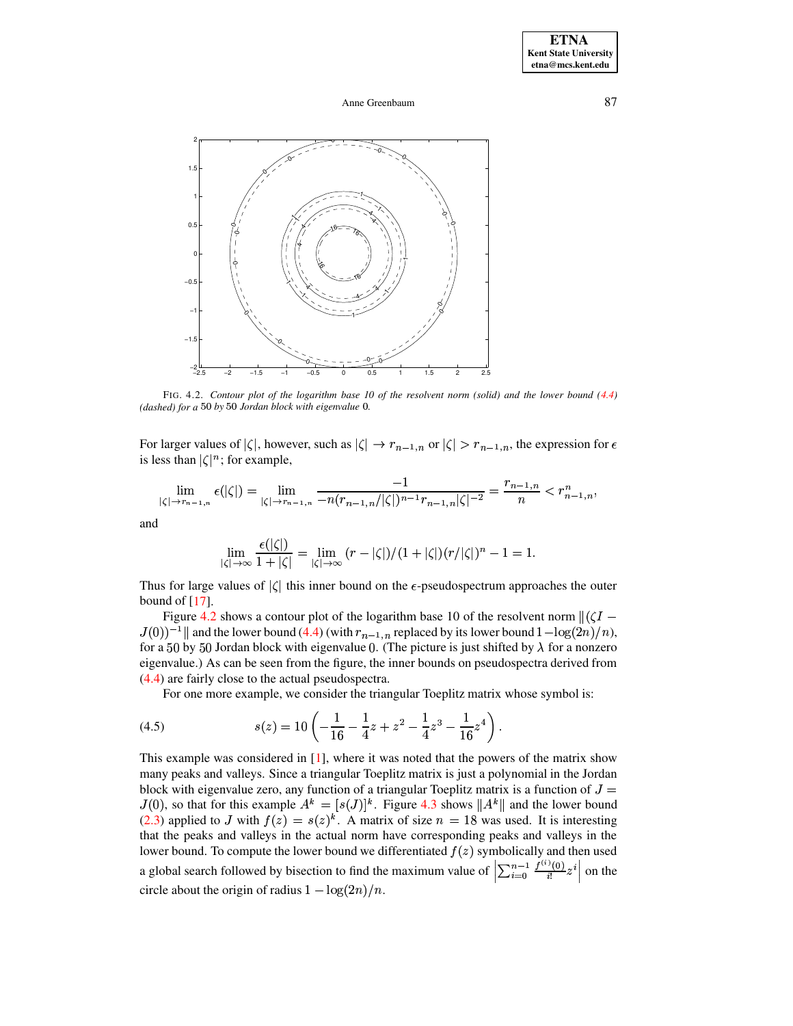Anne Greenbaum



<span id="page-6-0"></span>FIG. 4.2. Contour plot of the logarithm base 10 of the resolvent norm (solid) and the lower bound  $(4.4)$ (dashed) for a 50 by 50 Jordan block with eigenvalue 0.

For larger values of  $|\zeta|$ , however, such as  $|\zeta| \to r_{n-1,n}$  or  $|\zeta| > r_{n-1,n}$ , the expression for  $\epsilon$ is less than  $|\zeta|^n$ ; for example,

$$
\lim_{|\zeta| \to r_{n-1,n}} \epsilon(|\zeta|) = \lim_{|\zeta| \to r_{n-1,n}} \frac{-1}{-n(r_{n-1,n}/|\zeta|)^{n-1} r_{n-1,n} |\zeta|^{-2}} = \frac{r_{n-1,n}}{n} < r_{n-1,n}^n,
$$

and

<span id="page-6-1"></span>
$$
\lim_{|\zeta|\to\infty}\frac{\epsilon(|\zeta|)}{1+|\zeta|}=\lim_{|\zeta|\to\infty}\,(r-|\zeta|)/(1+|\zeta|)(r/|\zeta|)^n-1=1.
$$

Thus for large values of  $|\zeta|$  this inner bound on the  $\epsilon$ -pseudospectrum approaches the outer bound of  $[17]$ .

Figure 4.2 shows a contour plot of the logarithm base 10 of the resolvent norm  $\left\| \left( \zeta I - \right) \right\|$  $J(0)^{-1}$  and the lower bound (4.4) (with  $r_{n-1,n}$  replaced by its lower bound  $1 - \log(2n)/n$ ), for a 50 by 50 Jordan block with eigenvalue 0. (The picture is just shifted by  $\lambda$  for a nonzero eigenvalue.) As can be seen from the figure, the inner bounds on pseudospectra derived from  $(4.4)$  are fairly close to the actual pseudospectra.

For one more example, we consider the triangular Toeplitz matrix whose symbol is:

(4.5) 
$$
s(z) = 10 \left( -\frac{1}{16} - \frac{1}{4}z + z^2 - \frac{1}{4}z^3 - \frac{1}{16}z^4 \right).
$$

This example was considered in  $[1]$ , where it was noted that the powers of the matrix show many peaks and valleys. Since a triangular Toeplitz matrix is just a polynomial in the Jordan block with eigenvalue zero, any function of a triangular Toeplitz matrix is a function of  $J =$  $J(0)$ , so that for this example  $A^k = [s(J)]^k$ . Figure 4.3 shows  $||A^k||$  and the lower bound (2.3) applied to J with  $f(z) = s(z)^k$ . A matrix of size  $n = 18$  was used. It is interesting that the peaks and valleys in the actual norm have corresponding peaks and valleys in the lower bound. To compute the lower bound we differentiated  $f(z)$  symbolically and then used a global search followed by bisection to find the maximum value of  $\left|\sum_{i=0}^{n-1} \frac{f^{(i)}(0)}{i!} z^i\right|$  on the circle about the origin of radius  $1 - \log(2n)/n$ .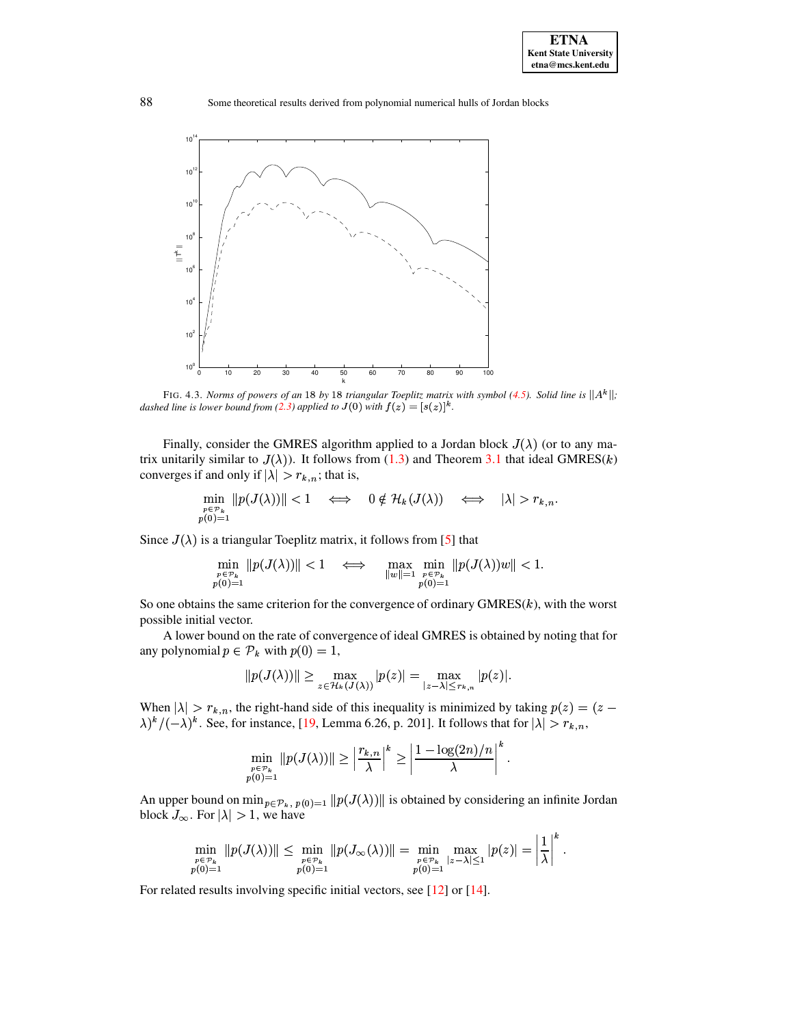

<span id="page-7-0"></span>FIG. 4.3. Norms of powers of an 18 by 18 triangular Toeplitz matrix with symbol (4.5). Solid line is  $||A^k||$ ; dashed line is lower bound from (2.3) applied to  $J(0)$  with  $f(z) = [s(z)]^k$ .

Finally, consider the GMRES algorithm applied to a Jordan block  $J(\lambda)$  (or to any matrix unitarily similar to  $J(\lambda)$ ). It follows from (1.3) and Theorem 3.1 that ideal GMRES(k) converges if and only if  $|\lambda| > r_{k,n}$ ; that is,

$$
\min_{\substack{p \in \mathcal{P}_k \\ p(0)=1}} \|p(J(\lambda))\| < 1 \quad \iff \quad 0 \notin \mathcal{H}_k(J(\lambda)) \quad \iff \quad |\lambda| > r_{k,n}
$$

Since  $J(\lambda)$  is a triangular Toeplitz matrix, it follows from [5] that

$$
\min_{\substack{p \in \mathcal{P}_k \\ p(0)=1}} \|p(J(\lambda))\| < 1 \quad \iff \quad \max_{\|w\|=1} \min_{\substack{p \in \mathcal{P}_k \\ p(0)=1}} \|p(J(\lambda))w\| < 1.
$$

So one obtains the same criterion for the convergence of ordinary  $GMRES(k)$ , with the worst possible initial vector.

A lower bound on the rate of convergence of ideal GMRES is obtained by noting that for any polynomial  $p \in \mathcal{P}_k$  with  $p(0) = 1$ ,

$$
||p(J(\lambda))|| \ge \max_{z \in \mathcal{H}_k(J(\lambda))} |p(z)| = \max_{|z-\lambda| \le r_{k,n}} |p(z)|.
$$

When  $|\lambda| > r_{k,n}$ , the right-hand side of this inequality is minimized by taking  $p(z) = (z - z)$  $\lambda$ <sup>k</sup>/(- $\lambda$ )<sup>k</sup>. See, for instance, [19, Lemma 6.26, p. 201]. It follows that for  $|\lambda| > r_{k,n}$ ,

$$
\min_{\substack{p \in \mathcal{P}_k \\ p(0)=1}} \|p(J(\lambda))\| \ge \left|\frac{r_{k,n}}{\lambda}\right|^k \ge \left|\frac{1-\log(2n)/n}{\lambda}\right|^k
$$

An upper bound on  $\min_{p \in \mathcal{P}_k}$ ,  $p(0)=1$   $||p(J(\lambda))||$  is obtained by considering an infinite Jordan block  $J_{\infty}$ . For  $|\lambda| > 1$ , we have

$$
\min_{\substack{p \in \mathcal{P}_k \\ p(0)=1}} \|p(J(\lambda))\| \leq \min_{\substack{p \in \mathcal{P}_k \\ p(0)=1}} \|p(J_\infty(\lambda))\| = \min_{\substack{p \in \mathcal{P}_k \\ p(0)=1}} \max_{|z-\lambda| \leq 1} |p(z)| = \left|\frac{1}{\lambda}\right|^{\kappa}.
$$

For related results involving specific initial vectors, see  $[12]$  or  $[14]$ .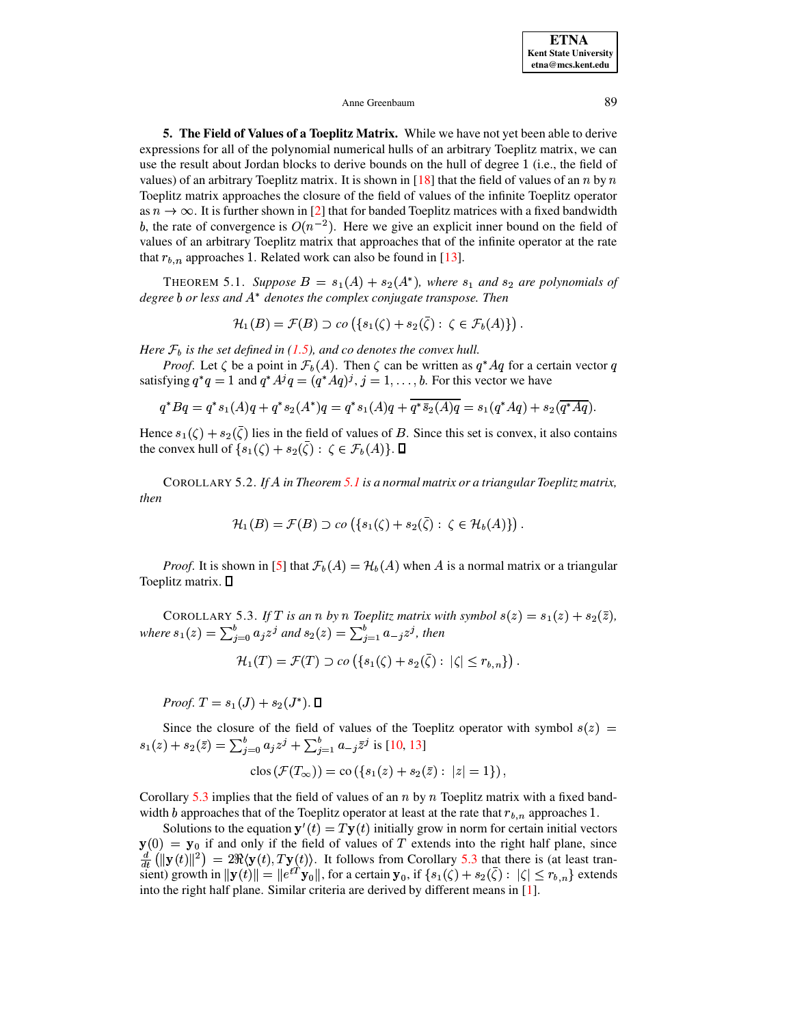#### Anne Greenbaum

5. The Field of Values of a Toeplitz Matrix. While we have not yet been able to derive expressions for all of the polynomial numerical hulls of an arbitrary Toeplitz matrix, we can use the result about Jordan blocks to derive bounds on the hull of degree 1 (i.e., the field of values) of an arbitrary Toeplitz matrix. It is shown in [18] that the field of values of an n by n Toeplitz matrix approaches the closure of the field of values of the infinite Toeplitz operator as  $n \to \infty$ . It is further shown in [2] that for banded Toeplitz matrices with a fixed bandwidth b, the rate of convergence is  $O(n^{-2})$ . Here we give an explicit inner bound on the field of values of an arbitrary Toeplitz matrix that approaches that of the infinite operator at the rate that  $r_{b,n}$  approaches 1. Related work can also be found in [13].

<span id="page-8-0"></span>THEOREM 5.1. Suppose  $B = s_1(A) + s_2(A^*)$ , where  $s_1$  and  $s_2$  are polynomials of degree  $b$  or less and  $A^*$  denotes the complex conjugate transpose. Then

$$
\mathcal{H}_1(B) = \mathcal{F}(B) \supset co\left(\{s_1(\zeta) + s_2(\bar{\zeta}) : \zeta \in \mathcal{F}_b(A)\}\right).
$$

Here  $\mathcal{F}_b$  is the set defined in (1.5), and co denotes the convex hull.

*Proof.* Let  $\zeta$  be a point in  $\mathcal{F}_b(A)$ . Then  $\zeta$  can be written as  $q^*Aq$  for a certain vector q satisfying  $q^*q = 1$  and  $q^*A^jq = (q^*Aq)^j$ ,  $j = 1, \ldots, b$ . For this vector we have

$$
q^*Bq = q^*s_1(A)q + q^*s_2(A^*)q = q^*s_1(A)q + \overline{q^*\overline{s_2(A)q}} = s_1(q^*Aq) + s_2(\overline{q^*Aq}).
$$

Hence  $s_1(\zeta) + s_2(\overline{\zeta})$  lies in the field of values of B. Since this set is convex, it also contains the convex hull of  $\{s_1(\zeta) + s_2(\overline{\zeta}) : \zeta \in \mathcal{F}_b(A)\}\. \square$ 

COROLLARY 5.2. If A in Theorem 5.1 is a normal matrix or a triangular Toeplitz matrix, then

$$
\mathcal{H}_1(B) = \mathcal{F}(B) \supset co\left(\{s_1(\zeta) + s_2(\overline{\zeta}) : \ \zeta \in \mathcal{H}_b(A)\}\right).
$$

*Proof.* It is shown in [5] that  $\mathcal{F}_b(A) = \mathcal{H}_b(A)$  when A is a normal matrix or a triangular Toeplitz matrix.  $\square$ 

<span id="page-8-1"></span>COROLLARY 5.3. If T is an n by n Toeplitz matrix with symbol  $s(z) = s_1(z) + s_2(\overline{z})$ , where  $s_1(z) = \sum_{i=0}^{b} a_i z^j$  and  $s_2(z) = \sum_{i=1}^{b} a_{-i} z^j$ , then

$$
\mathcal{H}_1(T)=\mathcal{F}(T)\supset co\left(\{s_1(\zeta)+s_2(\bar{\zeta}): |\zeta|\leq r_{b,n}\}\right).
$$

*Proof.*  $T = s_1(J) + s_2(J^*)$ .  $\Box$ 

Since the closure of the field of values of the Toeplitz operator with symbol  $s(z)$  =  $s_1(z) + s_2(\bar{z}) = \sum_{j=0}^{b} a_j z^j + \sum_{j=1}^{b} a_{-j} \bar{z}^j$  is [10, 13]

$$
clos (\mathcal{F}(T_{\infty})) = co (\lbrace s_1(z) + s_2(\bar{z}) : |z| = 1 \rbrace),
$$

Corollary 5.3 implies that the field of values of an  $n$  by  $n$  Toeplitz matrix with a fixed bandwidth b approaches that of the Toeplitz operator at least at the rate that  $r_{b,n}$  approaches 1.

Solutions to the equation  $y'(t) = Ty(t)$  initially grow in norm for certain initial vectors  $y(0) = y_0$  if and only if the field of values of T extends into the right half plane, since  $\frac{d}{dt}(\Vert \mathbf{y}(t)\Vert^2) = 2\Re\langle \mathbf{y}(t), T\mathbf{y}(t)\rangle$ . It follows from Corollary 5.3 that there is (at least transient) growth in  $\|\mathbf{y}(t)\| = \|e^{tT}\mathbf{y}_0\|$ , for a certain  $\mathbf{y}_0$ , if  $\{s_1(\zeta) + s_2(\overline{\zeta}) : |\zeta| \le r_{b,n}\}$  extends into the right half plane. Similar criteria are derived by different means in [1].